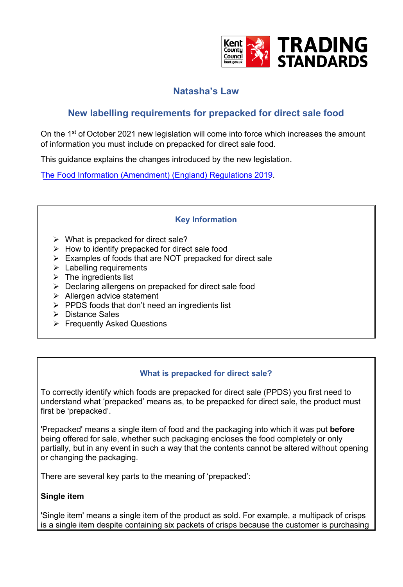

# **Natasha's Law**

# **New labelling requirements for prepacked for direct sale food**

On the 1<sup>st</sup> of October 2021 new legislation will come into force which increases the amount of information you must include on prepacked for direct sale food.

This guidance explains the changes introduced by the new legislation.

The Food Information (Amendment) (England) Regulations 2019.

## **Key Information**

- $\triangleright$  What is prepacked for direct sale?
- $\triangleright$  How to identify prepacked for direct sale food
- ➢ Examples of foods that are NOT prepacked for direct sale
- $\triangleright$  Labelling requirements
- $\triangleright$  The ingredients list
- ➢ Declaring allergens on prepacked for direct sale food
- ➢ Allergen advice statement
- $\triangleright$  PPDS foods that don't need an ingredients list
- ➢ Distance Sales
- ➢ Frequently Asked Questions

## **What is prepacked for direct sale?**

To correctly identify which foods are prepacked for direct sale (PPDS) you first need to understand what 'prepacked' means as, to be prepacked for direct sale, the product must first be 'prepacked'.

'Prepacked' means a single item of food and the packaging into which it was put **before** being offered for sale, whether such packaging encloses the food completely or only partially, but in any event in such a way that the contents cannot be altered without opening or changing the packaging.

There are several key parts to the meaning of 'prepacked':

## **Single item**

'Single item' means a single item of the product as sold. For example, a multipack of crisps is a single item despite containing six packets of crisps because the customer is purchasing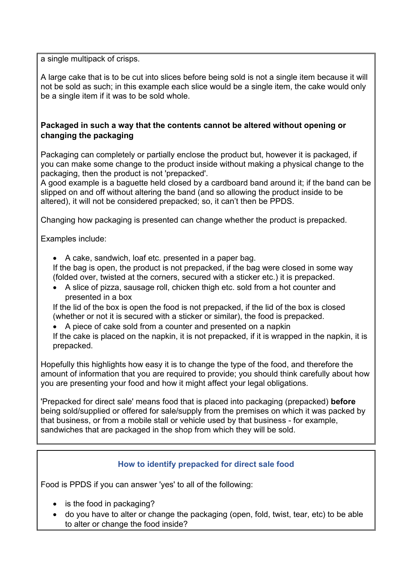a single multipack of crisps.

A large cake that is to be cut into slices before being sold is not a single item because it will not be sold as such; in this example each slice would be a single item, the cake would only be a single item if it was to be sold whole.

#### **Packaged in such a way that the contents cannot be altered without opening or changing the packaging**

Packaging can completely or partially enclose the product but, however it is packaged, if you can make some change to the product inside without making a physical change to the packaging, then the product is not 'prepacked'.

A good example is a baguette held closed by a cardboard band around it; if the band can be slipped on and off without altering the band (and so allowing the product inside to be altered), it will not be considered prepacked; so, it can't then be PPDS.

Changing how packaging is presented can change whether the product is prepacked.

Examples include:

• A cake, sandwich, loaf etc. presented in a paper bag.

If the bag is open, the product is not prepacked, if the bag were closed in some way (folded over, twisted at the corners, secured with a sticker etc.) it is prepacked.

• A slice of pizza, sausage roll, chicken thigh etc. sold from a hot counter and presented in a box

If the lid of the box is open the food is not prepacked, if the lid of the box is closed (whether or not it is secured with a sticker or similar), the food is prepacked.

• A piece of cake sold from a counter and presented on a napkin

If the cake is placed on the napkin, it is not prepacked, if it is wrapped in the napkin, it is prepacked.

Hopefully this highlights how easy it is to change the type of the food, and therefore the amount of information that you are required to provide; you should think carefully about how you are presenting your food and how it might affect your legal obligations.

'Prepacked for direct sale' means food that is placed into packaging (prepacked) **before** being sold/supplied or offered for sale/supply from the premises on which it was packed by that business, or from a mobile stall or vehicle used by that business - for example, sandwiches that are packaged in the shop from which they will be sold.

#### **How to identify prepacked for direct sale food**

Food is PPDS if you can answer 'yes' to all of the following:

- is the food in packaging?
- do you have to alter or change the packaging (open, fold, twist, tear, etc) to be able to alter or change the food inside?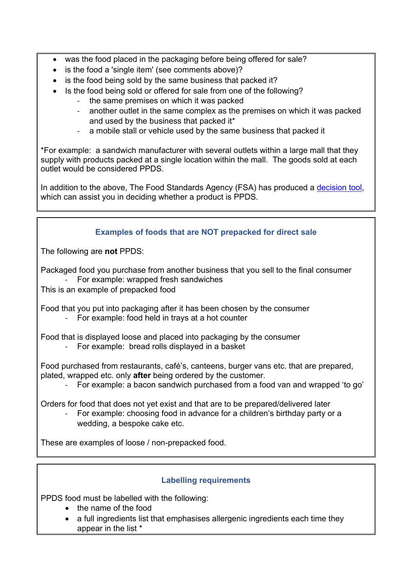- was the food placed in the packaging before being offered for sale?
- is the food a 'single item' (see comments above)?
- is the food being sold by the same business that packed it?
- Is the food being sold or offered for sale from one of the following?
	- the same premises on which it was packed
	- another outlet in the same complex as the premises on which it was packed and used by the business that packed it\*
	- a mobile stall or vehicle used by the same business that packed it

\*For example: a sandwich manufacturer with several outlets within a large mall that they supply with products packed at a single location within the mall. The goods sold at each outlet would be considered PPDS.

In addition to the above, The Food Standards Agency (FSA) has produced a [decision tool,](https://www.food.gov.uk/allergen-ingredients-food-labelling-decision-tool) which can assist you in deciding whether a product is PPDS.

## **Examples of foods that are NOT prepacked for direct sale**

The following are **not** PPDS:

Packaged food you purchase from another business that you sell to the final consumer - For example: wrapped fresh sandwiches

This is an example of prepacked food

Food that you put into packaging after it has been chosen by the consumer

- For example: food held in trays at a hot counter

Food that is displayed loose and placed into packaging by the consumer

- For example: bread rolls displayed in a basket

Food purchased from restaurants, café's, canteens, burger vans etc. that are prepared, plated, wrapped etc. only **after** being ordered by the customer.

- For example: a bacon sandwich purchased from a food van and wrapped 'to go'

Orders for food that does not yet exist and that are to be prepared/delivered later

For example: choosing food in advance for a children's birthday party or a wedding, a bespoke cake etc.

These are examples of loose / non-prepacked food.

## **Labelling requirements**

PPDS food must be labelled with the following:

- the name of the food
- a full ingredients list that emphasises allergenic ingredients each time they appear in the list \*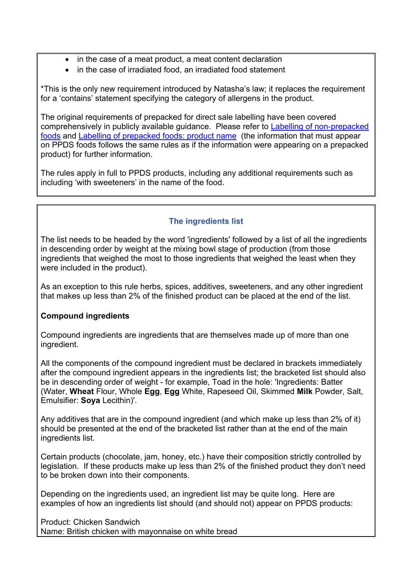- in the case of a meat product, a meat content declaration
- in the case of irradiated food, an irradiated food statement

\*This is the only new requirement introduced by Natasha's law; it replaces the requirement for a 'contains' statement specifying the category of allergens in the product.

The original requirements of prepacked for direct sale labelling have been covered comprehensively in publicly available guidance. Please refer to [Labelling of non-prepacked](https://eur01.safelinks.protection.outlook.com/?url=https%3A%2F%2Fwww.businesscompanion.info%2Fen%2Fquick-guides%2Ffood-and-drink%2Flabelling-of-non-prepacked-foods&data=04%7C01%7Cnathan.martin%40kent.gov.uk%7Cad4e33122ad44171d59308d8f05dbd3d%7C3253a20dc7354bfea8b73e6ab37f5f90%7C0%7C0%7C637523632679760757%7CUnknown%7CTWFpbGZsb3d8eyJWIjoiMC4wLjAwMDAiLCJQIjoiV2luMzIiLCJBTiI6Ik1haWwiLCJXVCI6Mn0%3D%7C1000&sdata=FwAuAtmYyeaYsQXYMnQLeblj1RtLzgjegmheNjYGvnI%3D&reserved=0)  [foods](https://eur01.safelinks.protection.outlook.com/?url=https%3A%2F%2Fwww.businesscompanion.info%2Fen%2Fquick-guides%2Ffood-and-drink%2Flabelling-of-non-prepacked-foods&data=04%7C01%7Cnathan.martin%40kent.gov.uk%7Cad4e33122ad44171d59308d8f05dbd3d%7C3253a20dc7354bfea8b73e6ab37f5f90%7C0%7C0%7C637523632679760757%7CUnknown%7CTWFpbGZsb3d8eyJWIjoiMC4wLjAwMDAiLCJQIjoiV2luMzIiLCJBTiI6Ik1haWwiLCJXVCI6Mn0%3D%7C1000&sdata=FwAuAtmYyeaYsQXYMnQLeblj1RtLzgjegmheNjYGvnI%3D&reserved=0) and [Labelling of prepacked foods: product name](https://www.businesscompanion.info/en/quick-guides/food-and-drink/labelling-of-prepacked-foods-product-name) (the information that must appear on PPDS foods follows the same rules as if the information were appearing on a prepacked product) for further information.

The rules apply in full to PPDS products, including any additional requirements such as including 'with sweeteners' in the name of the food.

## **The ingredients list**

The list needs to be headed by the word 'ingredients' followed by a list of all the ingredients in descending order by weight at the mixing bowl stage of production (from those ingredients that weighed the most to those ingredients that weighed the least when they were included in the product).

As an exception to this rule herbs, spices, additives, sweeteners, and any other ingredient that makes up less than 2% of the finished product can be placed at the end of the list.

#### **Compound ingredients**

Compound ingredients are ingredients that are themselves made up of more than one ingredient.

All the components of the compound ingredient must be declared in brackets immediately after the compound ingredient appears in the ingredients list; the bracketed list should also be in descending order of weight - for example, Toad in the hole: 'Ingredients: Batter (Water, **Wheat** Flour, Whole **Egg**, **Egg** White, Rapeseed Oil, Skimmed **Milk** Powder, Salt, Emulsifier: **Soya** Lecithin)'.

Any additives that are in the compound ingredient (and which make up less than 2% of it) should be presented at the end of the bracketed list rather than at the end of the main ingredients list.

Certain products (chocolate, jam, honey, etc.) have their composition strictly controlled by legislation. If these products make up less than 2% of the finished product they don't need to be broken down into their components.

Depending on the ingredients used, an ingredient list may be quite long. Here are examples of how an ingredients list should (and should not) appear on PPDS products:

Product: Chicken Sandwich Name: British chicken with mayonnaise on white bread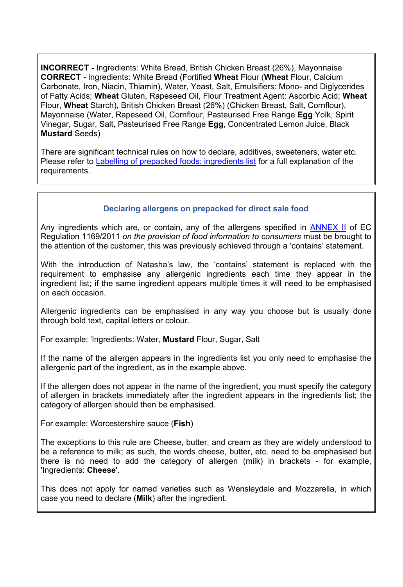**INCORRECT -** Ingredients: White Bread, British Chicken Breast (26%), Mayonnaise **CORRECT -** Ingredients: White Bread (Fortified **Wheat** Flour (**Wheat** Flour, Calcium Carbonate, Iron, Niacin, Thiamin), Water, Yeast, Salt, Emulsifiers: Mono- and Diglycerides of Fatty Acids; **Wheat** Gluten, Rapeseed Oil, Flour Treatment Agent: Ascorbic Acid; **Wheat** Flour, **Wheat** Starch), British Chicken Breast (26%) (Chicken Breast, Salt, Cornflour), Mayonnaise (Water, Rapeseed Oil, Cornflour, Pasteurised Free Range **Egg** Yolk, Spirit Vinegar, Sugar, Salt, Pasteurised Free Range **Egg**, Concentrated Lemon Juice, Black **Mustard** Seeds)

There are significant technical rules on how to declare, additives, sweeteners, water etc. Please refer to [Labelling of prepacked foods: ingredients list](https://www.businesscompanion.info/en/quick-guides/food-and-drink/labelling-of-prepacked-foods-ingredients-list) for a full explanation of the requirements.

#### **Declaring allergens on prepacked for direct sale food**

Any ingredients which are, or contain, any of the allergens specified in **ANNEX II** of EC Regulation 1169/2011 *on the provision of food information to consumers* must be brought to the attention of the customer, this was previously achieved through a 'contains' statement.

With the introduction of Natasha's law, the 'contains' statement is replaced with the requirement to emphasise any allergenic ingredients each time they appear in the ingredient list; if the same ingredient appears multiple times it will need to be emphasised on each occasion.

Allergenic ingredients can be emphasised in any way you choose but is usually done through bold text, capital letters or colour.

For example: 'Ingredients: Water, **Mustard** Flour, Sugar, Salt

If the name of the allergen appears in the ingredients list you only need to emphasise the allergenic part of the ingredient, as in the example above.

If the allergen does not appear in the name of the ingredient, you must specify the category of allergen in brackets immediately after the ingredient appears in the ingredients list; the category of allergen should then be emphasised.

For example: Worcestershire sauce (**Fish**)

The exceptions to this rule are Cheese, butter, and cream as they are widely understood to be a reference to milk; as such, the words cheese, butter, etc. need to be emphasised but there is no need to add the category of allergen (milk) in brackets - for example, 'Ingredients: **Cheese**'.

This does not apply for named varieties such as Wensleydale and Mozzarella, in which case you need to declare (**Milk**) after the ingredient.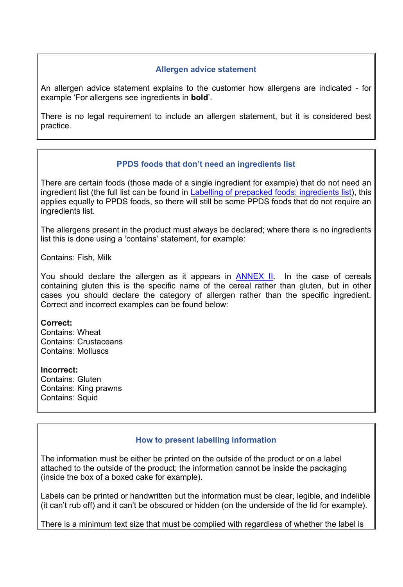### **Allergen advice statement**

An allergen advice statement explains to the customer how allergens are indicated - for example 'For allergens see ingredients in **bold**'.

There is no legal requirement to include an allergen statement, but it is considered best practice.

### **PPDS foods that don't need an ingredients list**

There are certain foods (those made of a single ingredient for example) that do not need an ingredient list (the full list can be found in [Labelling of prepacked foods: ingredients list\)](https://www.businesscompanion.info/en/quick-guides/food-and-drink/labelling-of-prepacked-foods-ingredients-list), this applies equally to PPDS foods, so there will still be some PPDS foods that do not require an ingredients list.

The allergens present in the product must always be declared; where there is no ingredients list this is done using a 'contains' statement, for example:

Contains: Fish, Milk

You should declare the allergen as it appears in [ANNEX II.](https://www.legislation.gov.uk/eur/2011/1169/annex/II) In the case of cereals containing gluten this is the specific name of the cereal rather than gluten, but in other cases you should declare the category of allergen rather than the specific ingredient. Correct and incorrect examples can be found below:

#### **Correct:**

Contains: Wheat Contains: Crustaceans Contains: Molluscs

#### **Incorrect:**

Contains: Gluten Contains: King prawns Contains: Squid

#### **How to present labelling information**

The information must be either be printed on the outside of the product or on a label attached to the outside of the product; the information cannot be inside the packaging (inside the box of a boxed cake for example).

Labels can be printed or handwritten but the information must be clear, legible, and indelible (it can't rub off) and it can't be obscured or hidden (on the underside of the lid for example).

There is a minimum text size that must be complied with regardless of whether the label is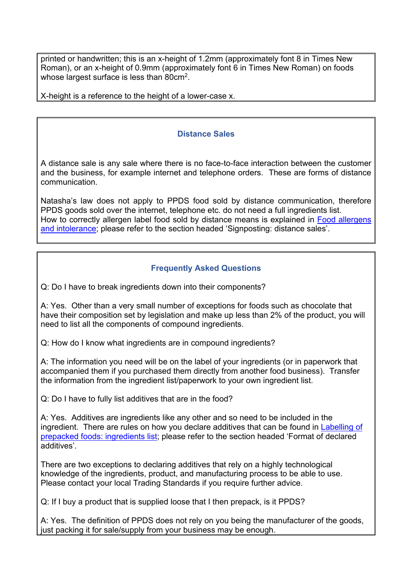printed or handwritten; this is an x-height of 1.2mm (approximately font 8 in Times New Roman), or an x-height of 0.9mm (approximately font 6 in Times New Roman) on foods whose largest surface is less than 80 $\mathrm{cm}^2$ .

X-height is a reference to the height of a lower-case x.

### **Distance Sales**

A distance sale is any sale where there is no face-to-face interaction between the customer and the business, for example internet and telephone orders. These are forms of distance communication.

Natasha's law does not apply to PPDS food sold by distance communication, therefore PPDS goods sold over the internet, telephone etc. do not need a full ingredients list. How to correctly allergen label food sold by distance means is explained in [Food allergens](https://www.businesscompanion.info/en/quick-guides/food-and-drink/food-allergens-and-intolerance#Signpostingdistancesales)  [and intolerance;](https://www.businesscompanion.info/en/quick-guides/food-and-drink/food-allergens-and-intolerance#Signpostingdistancesales) please refer to the section headed 'Signposting: distance sales'.

## **Frequently Asked Questions**

Q: Do I have to break ingredients down into their components?

A: Yes. Other than a very small number of exceptions for foods such as chocolate that have their composition set by legislation and make up less than 2% of the product, you will need to list all the components of compound ingredients.

Q: How do I know what ingredients are in compound ingredients?

A: The information you need will be on the label of your ingredients (or in paperwork that accompanied them if you purchased them directly from another food business). Transfer the information from the ingredient list/paperwork to your own ingredient list.

Q: Do I have to fully list additives that are in the food?

A: Yes. Additives are ingredients like any other and so need to be included in the ingredient. There are rules on how you declare additives that can be found in [Labelling of](https://www.businesscompanion.info/en/quick-guides/food-and-drink/labelling-of-prepacked-foods-ingredients-list)  [prepacked foods: ingredients list;](https://www.businesscompanion.info/en/quick-guides/food-and-drink/labelling-of-prepacked-foods-ingredients-list) please refer to the section headed 'Format of declared additives'.

There are two exceptions to declaring additives that rely on a highly technological knowledge of the ingredients, product, and manufacturing process to be able to use. Please contact your local Trading Standards if you require further advice.

Q: If I buy a product that is supplied loose that I then prepack, is it PPDS?

A: Yes. The definition of PPDS does not rely on you being the manufacturer of the goods, just packing it for sale/supply from your business may be enough.